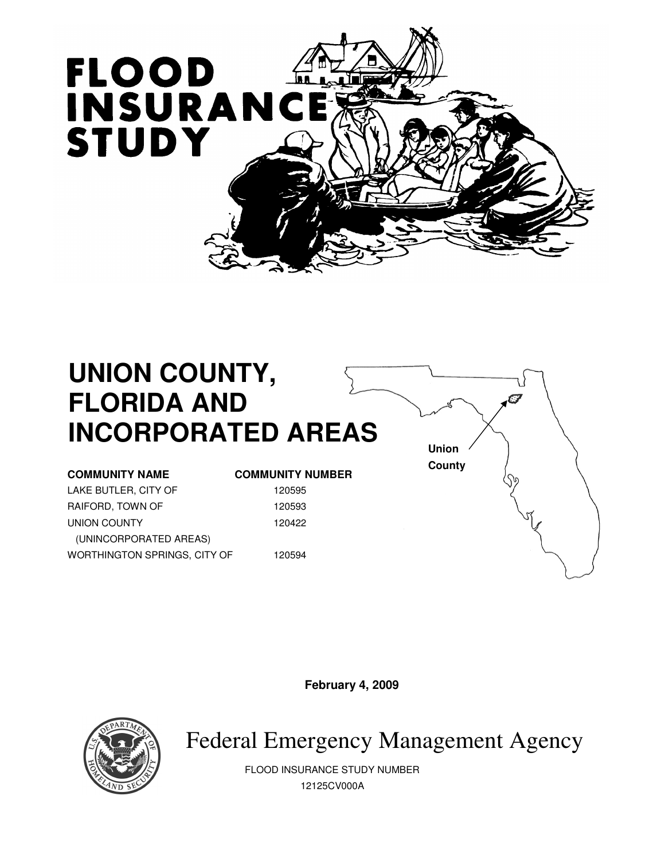

# **UNION COUNTY, FLORIDA AND INCORPORATED AREAS**

LAKE BUTLER, CITY OF 120595 RAIFORD, TOWN OF 120593 UNION COUNTY 120422 (UNINCORPORATED AREAS) WORTHINGTON SPRINGS, CITY OF 120594

#### **COMMUNITY NAME COMMUNITY NUMBER**

**Union County** 

**February 4, 2009** 



Federal Emergency Management Agency

FLOOD INSURANCE STUDY NUMBER 12125CV000A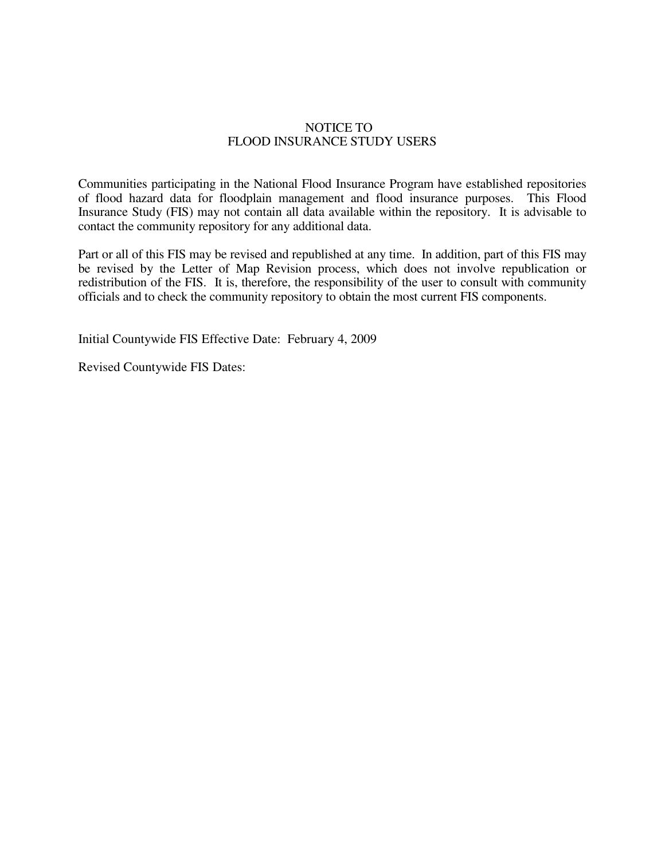#### NOTICE TO FLOOD INSURANCE STUDY USERS

Communities participating in the National Flood Insurance Program have established repositories of flood hazard data for floodplain management and flood insurance purposes. This Flood Insurance Study (FIS) may not contain all data available within the repository. It is advisable to contact the community repository for any additional data.

Part or all of this FIS may be revised and republished at any time. In addition, part of this FIS may be revised by the Letter of Map Revision process, which does not involve republication or redistribution of the FIS. It is, therefore, the responsibility of the user to consult with community officials and to check the community repository to obtain the most current FIS components.

Initial Countywide FIS Effective Date: February 4, 2009

Revised Countywide FIS Dates: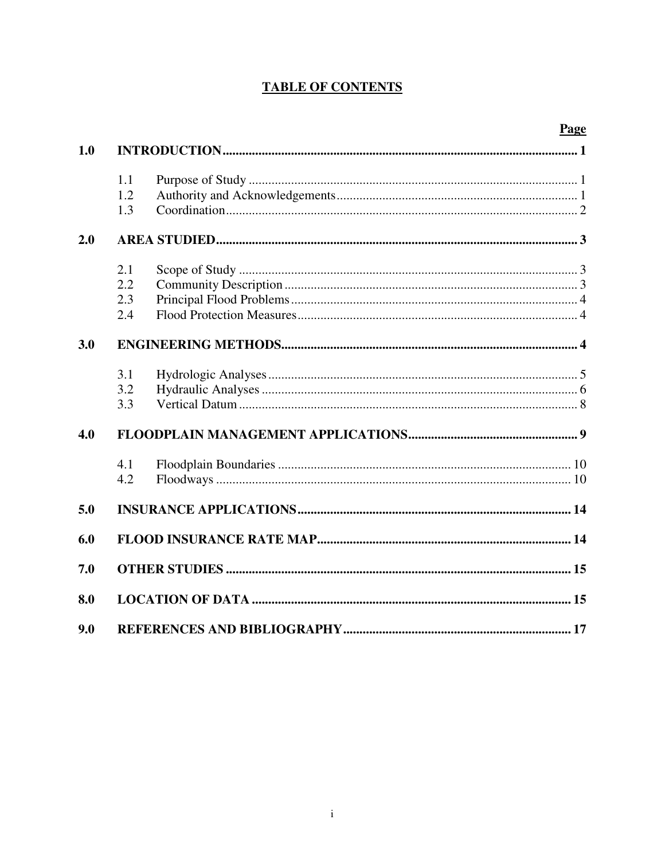# **TABLE OF CONTENTS**

| 1.0 |                          |  |
|-----|--------------------------|--|
|     | 1.1<br>1.2<br>1.3        |  |
| 2.0 |                          |  |
|     | 2.1<br>2.2<br>2.3<br>2.4 |  |
| 3.0 |                          |  |
|     | 3.1<br>3.2<br>3.3        |  |
| 4.0 |                          |  |
|     | 4.1<br>4.2               |  |
| 5.0 |                          |  |
| 6.0 |                          |  |
| 7.0 |                          |  |
| 8.0 |                          |  |
| 9.0 |                          |  |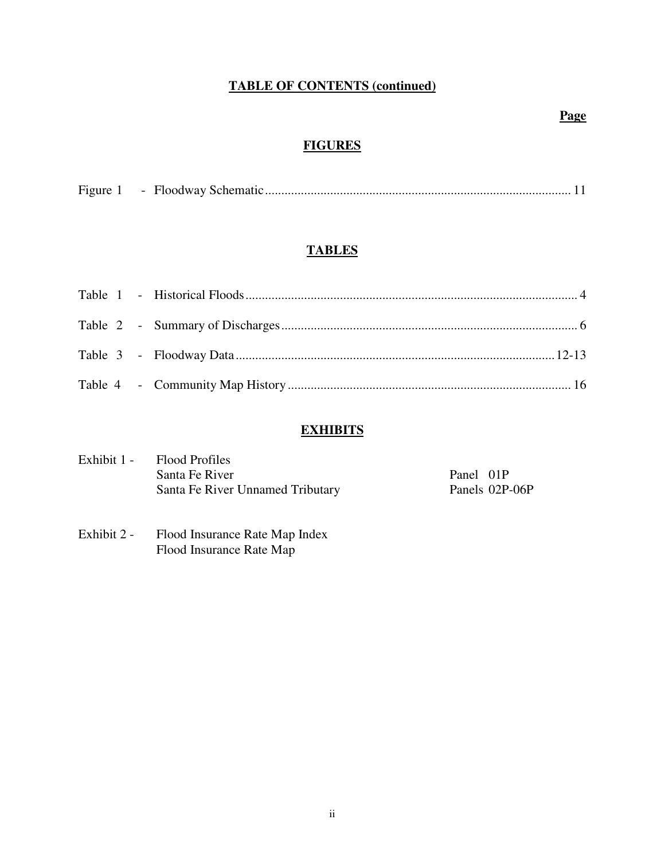# **TABLE OF CONTENTS (continued)**

# **Page**

# **FIGURES**

| Figure |  |  |  |  |
|--------|--|--|--|--|
|--------|--|--|--|--|

# **TABLES**

# **EXHIBITS**

| Exhibit 1 - Flood Profiles       |           |                |
|----------------------------------|-----------|----------------|
| Santa Fe River                   | Panel 01P |                |
| Santa Fe River Unnamed Tributary |           | Panels 02P-06P |

Exhibit 2 - Flood Insurance Rate Map Index Flood Insurance Rate Map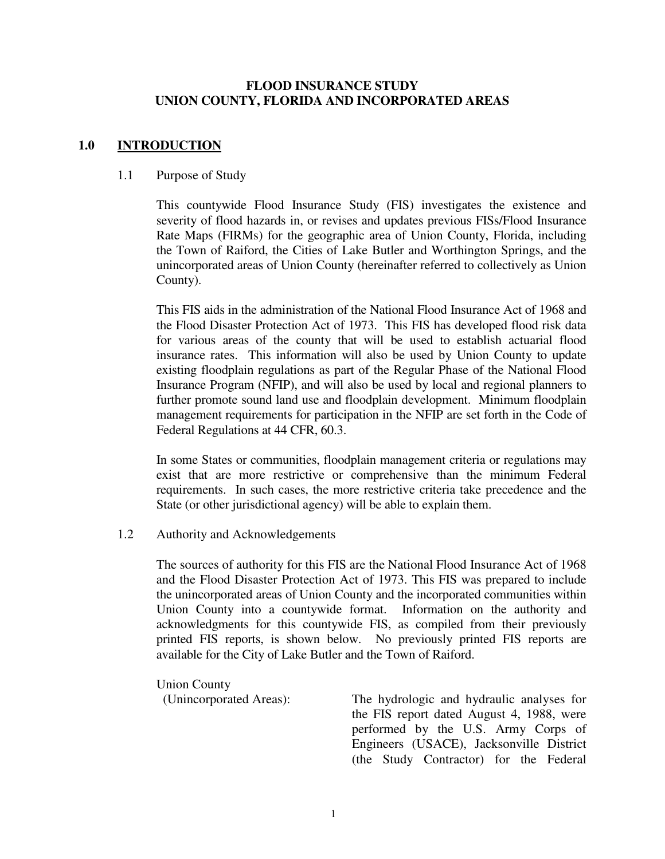# **FLOOD INSURANCE STUDY UNION COUNTY, FLORIDA AND INCORPORATED AREAS**

# **1.0 INTRODUCTION**

#### 1.1 Purpose of Study

This countywide Flood Insurance Study (FIS) investigates the existence and severity of flood hazards in, or revises and updates previous FISs/Flood Insurance Rate Maps (FIRMs) for the geographic area of Union County, Florida, including the Town of Raiford, the Cities of Lake Butler and Worthington Springs, and the unincorporated areas of Union County (hereinafter referred to collectively as Union County).

 This FIS aids in the administration of the National Flood Insurance Act of 1968 and the Flood Disaster Protection Act of 1973. This FIS has developed flood risk data for various areas of the county that will be used to establish actuarial flood insurance rates. This information will also be used by Union County to update existing floodplain regulations as part of the Regular Phase of the National Flood Insurance Program (NFIP), and will also be used by local and regional planners to further promote sound land use and floodplain development. Minimum floodplain management requirements for participation in the NFIP are set forth in the Code of Federal Regulations at 44 CFR, 60.3.

 In some States or communities, floodplain management criteria or regulations may exist that are more restrictive or comprehensive than the minimum Federal requirements. In such cases, the more restrictive criteria take precedence and the State (or other jurisdictional agency) will be able to explain them.

#### 1.2 Authority and Acknowledgements

The sources of authority for this FIS are the National Flood Insurance Act of 1968 and the Flood Disaster Protection Act of 1973. This FIS was prepared to include the unincorporated areas of Union County and the incorporated communities within Union County into a countywide format. Information on the authority and acknowledgments for this countywide FIS, as compiled from their previously printed FIS reports, is shown below. No previously printed FIS reports are available for the City of Lake Butler and the Town of Raiford.

Union County

(Unincorporated Areas): The hydrologic and hydraulic analyses for the FIS report dated August 4, 1988, were performed by the U.S. Army Corps of Engineers (USACE), Jacksonville District (the Study Contractor) for the Federal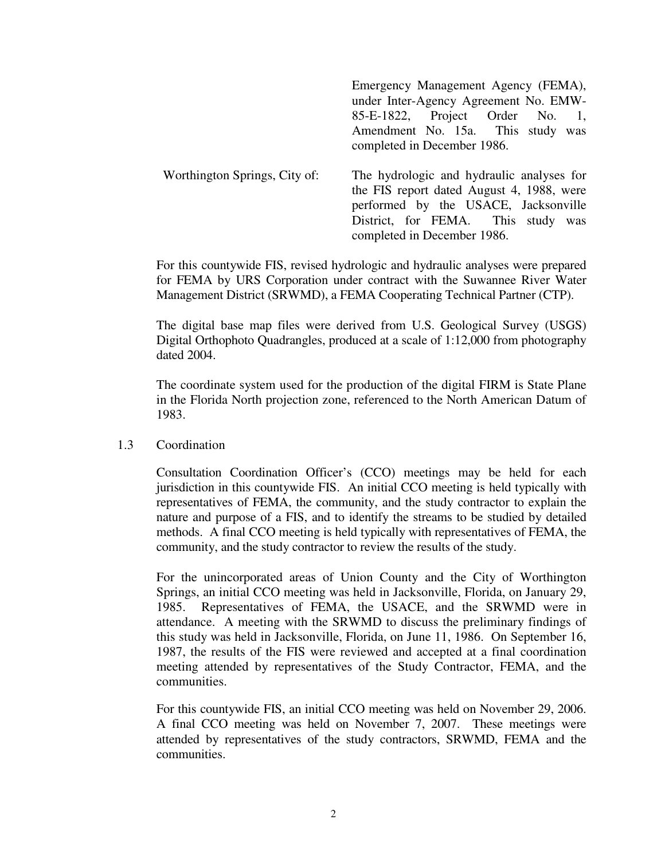|                               | Emergency Management Agency (FEMA),       |
|-------------------------------|-------------------------------------------|
|                               | under Inter-Agency Agreement No. EMW-     |
|                               | 85-E-1822, Project Order No.              |
|                               | Amendment No. 15a. This study was         |
|                               | completed in December 1986.               |
| Worthington Springs, City of: | The hydrologic and hydraulic analyses for |
|                               | the FIS report dated August 4, 1988, were |
|                               | performed by the USACE, Jacksonville      |
|                               | District, for FEMA. This study was        |
|                               | completed in December 1986.               |

For this countywide FIS, revised hydrologic and hydraulic analyses were prepared for FEMA by URS Corporation under contract with the Suwannee River Water Management District (SRWMD), a FEMA Cooperating Technical Partner (CTP).

 The digital base map files were derived from U.S. Geological Survey (USGS) Digital Orthophoto Quadrangles, produced at a scale of 1:12,000 from photography dated 2004.

The coordinate system used for the production of the digital FIRM is State Plane in the Florida North projection zone, referenced to the North American Datum of 1983.

#### 1.3 Coordination

Consultation Coordination Officer's (CCO) meetings may be held for each jurisdiction in this countywide FIS. An initial CCO meeting is held typically with representatives of FEMA, the community, and the study contractor to explain the nature and purpose of a FIS, and to identify the streams to be studied by detailed methods. A final CCO meeting is held typically with representatives of FEMA, the community, and the study contractor to review the results of the study.

For the unincorporated areas of Union County and the City of Worthington Springs, an initial CCO meeting was held in Jacksonville, Florida, on January 29, 1985. Representatives of FEMA, the USACE, and the SRWMD were in attendance. A meeting with the SRWMD to discuss the preliminary findings of this study was held in Jacksonville, Florida, on June 11, 1986. On September 16, 1987, the results of the FIS were reviewed and accepted at a final coordination meeting attended by representatives of the Study Contractor, FEMA, and the communities.

For this countywide FIS, an initial CCO meeting was held on November 29, 2006. A final CCO meeting was held on November 7, 2007. These meetings were attended by representatives of the study contractors, SRWMD, FEMA and the communities.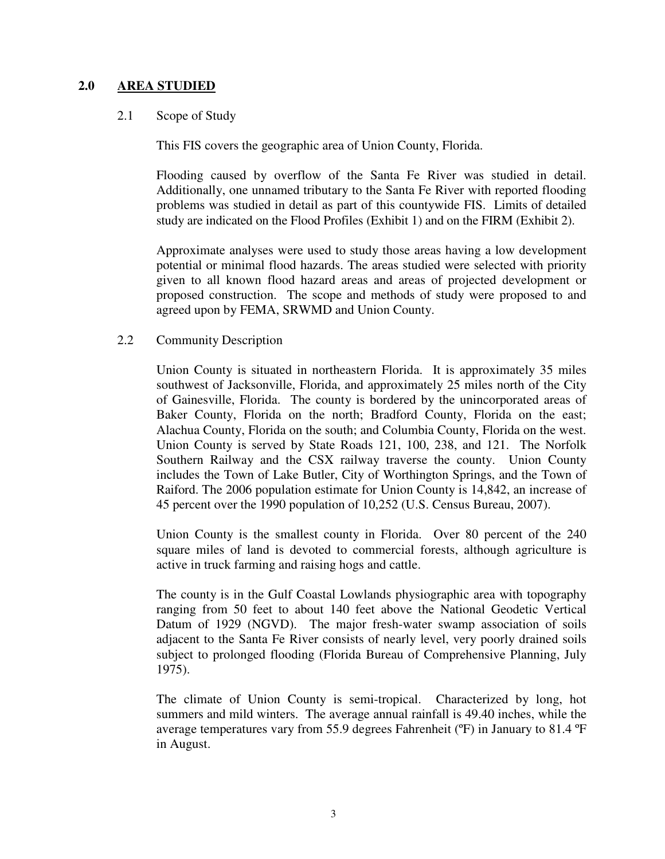# **2.0 AREA STUDIED**

#### 2.1 Scope of Study

This FIS covers the geographic area of Union County, Florida.

Flooding caused by overflow of the Santa Fe River was studied in detail. Additionally, one unnamed tributary to the Santa Fe River with reported flooding problems was studied in detail as part of this countywide FIS. Limits of detailed study are indicated on the Flood Profiles (Exhibit 1) and on the FIRM (Exhibit 2).

Approximate analyses were used to study those areas having a low development potential or minimal flood hazards. The areas studied were selected with priority given to all known flood hazard areas and areas of projected development or proposed construction. The scope and methods of study were proposed to and agreed upon by FEMA, SRWMD and Union County.

#### 2.2 Community Description

Union County is situated in northeastern Florida. It is approximately 35 miles southwest of Jacksonville, Florida, and approximately 25 miles north of the City of Gainesville, Florida. The county is bordered by the unincorporated areas of Baker County, Florida on the north; Bradford County, Florida on the east; Alachua County, Florida on the south; and Columbia County, Florida on the west. Union County is served by State Roads 121, 100, 238, and 121. The Norfolk Southern Railway and the CSX railway traverse the county. Union County includes the Town of Lake Butler, City of Worthington Springs, and the Town of Raiford. The 2006 population estimate for Union County is 14,842, an increase of 45 percent over the 1990 population of 10,252 (U.S. Census Bureau, 2007).

Union County is the smallest county in Florida. Over 80 percent of the 240 square miles of land is devoted to commercial forests, although agriculture is active in truck farming and raising hogs and cattle.

The county is in the Gulf Coastal Lowlands physiographic area with topography ranging from 50 feet to about 140 feet above the National Geodetic Vertical Datum of 1929 (NGVD). The major fresh-water swamp association of soils adjacent to the Santa Fe River consists of nearly level, very poorly drained soils subject to prolonged flooding (Florida Bureau of Comprehensive Planning, July 1975).

The climate of Union County is semi-tropical. Characterized by long, hot summers and mild winters. The average annual rainfall is 49.40 inches, while the average temperatures vary from 55.9 degrees Fahrenheit (ºF) in January to 81.4 ºF in August.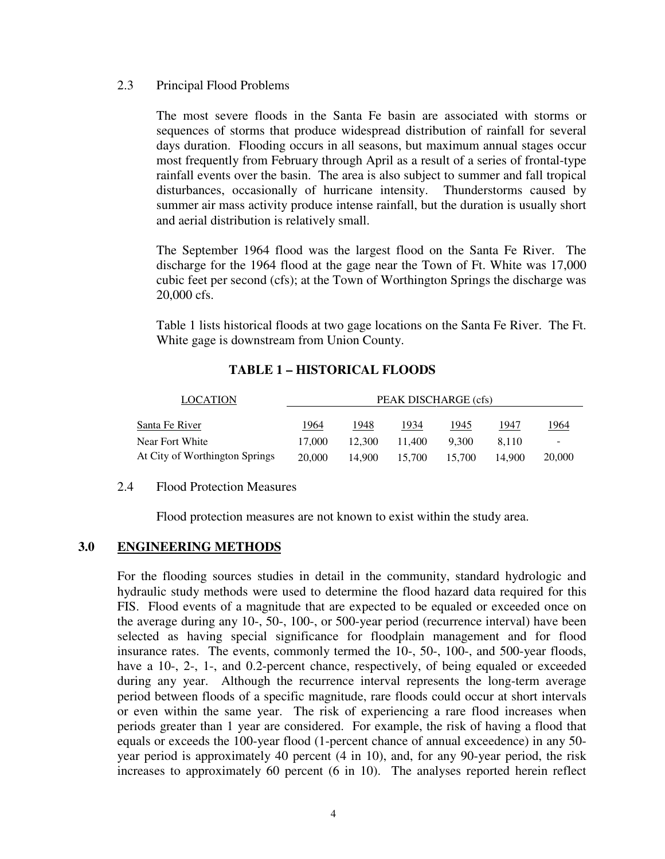#### 2.3 Principal Flood Problems

The most severe floods in the Santa Fe basin are associated with storms or sequences of storms that produce widespread distribution of rainfall for several days duration. Flooding occurs in all seasons, but maximum annual stages occur most frequently from February through April as a result of a series of frontal-type rainfall events over the basin. The area is also subject to summer and fall tropical disturbances, occasionally of hurricane intensity. Thunderstorms caused by summer air mass activity produce intense rainfall, but the duration is usually short and aerial distribution is relatively small.

The September 1964 flood was the largest flood on the Santa Fe River. The discharge for the 1964 flood at the gage near the Town of Ft. White was 17,000 cubic feet per second (cfs); at the Town of Worthington Springs the discharge was 20,000 cfs.

Table 1 lists historical floods at two gage locations on the Santa Fe River. The Ft. White gage is downstream from Union County.

| <b>LOCATION</b>                |        |        | PEAK DISCHARGE (cfs) |        |        |        |
|--------------------------------|--------|--------|----------------------|--------|--------|--------|
| Santa Fe River                 | 1964   | 1948   | 1934                 | 1945   | 1947   | 1964   |
| Near Fort White                | 17,000 | 12.300 | 11.400               | 9.300  | 8.110  | -      |
| At City of Worthington Springs | 20,000 | 14.900 | 15.700               | 15.700 | 14.900 | 20,000 |

# **TABLE 1 – HISTORICAL FLOODS**

#### 2.4 Flood Protection Measures

Flood protection measures are not known to exist within the study area.

# **3.0 ENGINEERING METHODS**

For the flooding sources studies in detail in the community, standard hydrologic and hydraulic study methods were used to determine the flood hazard data required for this FIS. Flood events of a magnitude that are expected to be equaled or exceeded once on the average during any 10-, 50-, 100-, or 500-year period (recurrence interval) have been selected as having special significance for floodplain management and for flood insurance rates. The events, commonly termed the 10-, 50-, 100-, and 500-year floods, have a 10-, 2-, 1-, and 0.2-percent chance, respectively, of being equaled or exceeded during any year. Although the recurrence interval represents the long-term average period between floods of a specific magnitude, rare floods could occur at short intervals or even within the same year. The risk of experiencing a rare flood increases when periods greater than 1 year are considered. For example, the risk of having a flood that equals or exceeds the 100-year flood (1-percent chance of annual exceedence) in any 50 year period is approximately 40 percent (4 in 10), and, for any 90-year period, the risk increases to approximately 60 percent (6 in 10). The analyses reported herein reflect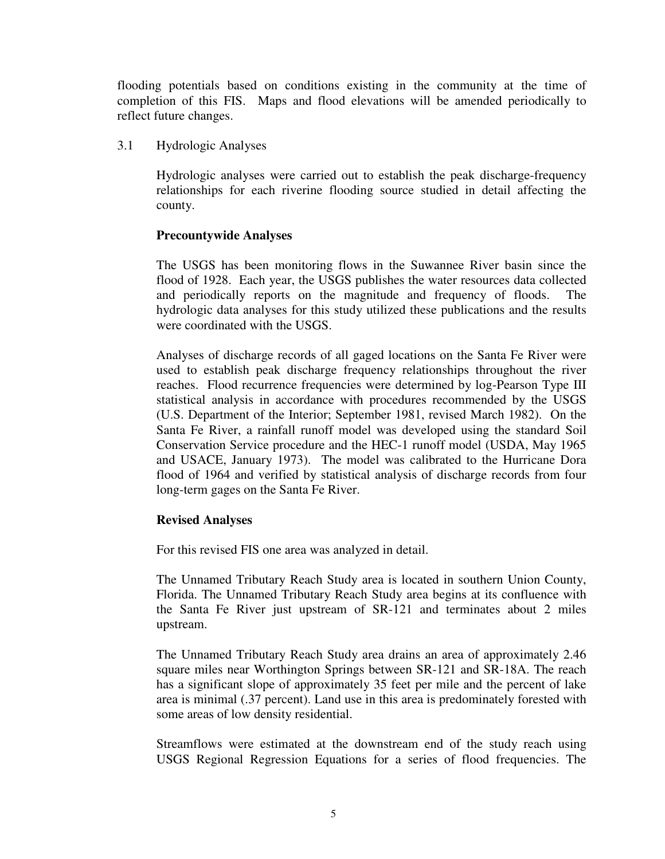flooding potentials based on conditions existing in the community at the time of completion of this FIS. Maps and flood elevations will be amended periodically to reflect future changes.

3.1 Hydrologic Analyses

Hydrologic analyses were carried out to establish the peak discharge-frequency relationships for each riverine flooding source studied in detail affecting the county.

# **Precountywide Analyses**

The USGS has been monitoring flows in the Suwannee River basin since the flood of 1928. Each year, the USGS publishes the water resources data collected and periodically reports on the magnitude and frequency of floods. The hydrologic data analyses for this study utilized these publications and the results were coordinated with the USGS.

Analyses of discharge records of all gaged locations on the Santa Fe River were used to establish peak discharge frequency relationships throughout the river reaches. Flood recurrence frequencies were determined by log-Pearson Type III statistical analysis in accordance with procedures recommended by the USGS (U.S. Department of the Interior; September 1981, revised March 1982). On the Santa Fe River, a rainfall runoff model was developed using the standard Soil Conservation Service procedure and the HEC-1 runoff model (USDA, May 1965 and USACE, January 1973). The model was calibrated to the Hurricane Dora flood of 1964 and verified by statistical analysis of discharge records from four long-term gages on the Santa Fe River.

# **Revised Analyses**

For this revised FIS one area was analyzed in detail.

The Unnamed Tributary Reach Study area is located in southern Union County, Florida. The Unnamed Tributary Reach Study area begins at its confluence with the Santa Fe River just upstream of SR-121 and terminates about 2 miles upstream.

The Unnamed Tributary Reach Study area drains an area of approximately 2.46 square miles near Worthington Springs between SR-121 and SR-18A. The reach has a significant slope of approximately 35 feet per mile and the percent of lake area is minimal (.37 percent). Land use in this area is predominately forested with some areas of low density residential.

Streamflows were estimated at the downstream end of the study reach using USGS Regional Regression Equations for a series of flood frequencies. The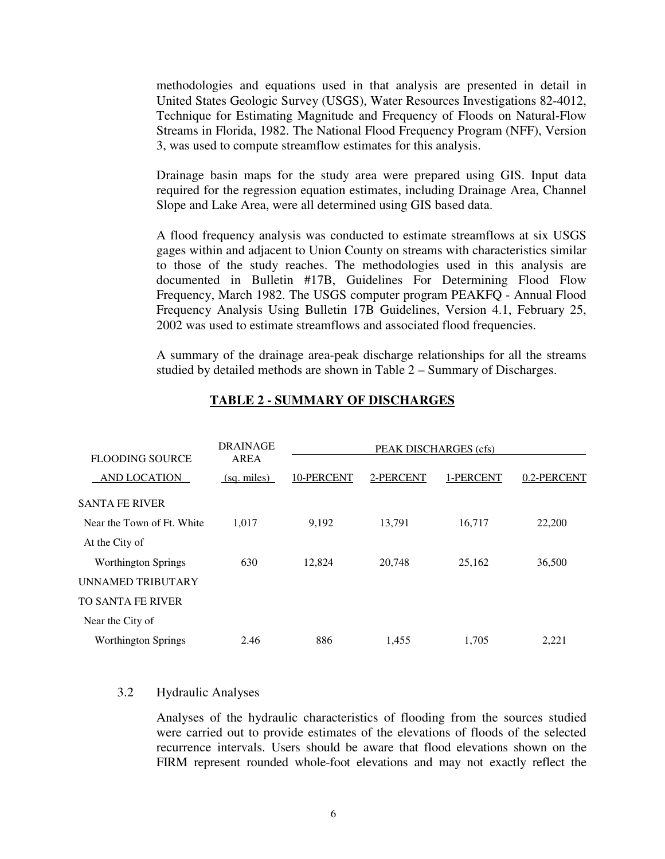methodologies and equations used in that analysis are presented in detail in United States Geologic Survey (USGS), Water Resources Investigations 82-4012, Technique for Estimating Magnitude and Frequency of Floods on Natural-Flow Streams in Florida, 1982. The National Flood Frequency Program (NFF), Version 3, was used to compute streamflow estimates for this analysis.

Drainage basin maps for the study area were prepared using GIS. Input data required for the regression equation estimates, including Drainage Area, Channel Slope and Lake Area, were all determined using GIS based data.

A flood frequency analysis was conducted to estimate streamflows at six USGS gages within and adjacent to Union County on streams with characteristics similar to those of the study reaches. The methodologies used in this analysis are documented in Bulletin #17B, Guidelines For Determining Flood Flow Frequency, March 1982. The USGS computer program PEAKFQ - Annual Flood Frequency Analysis Using Bulletin 17B Guidelines, Version 4.1, February 25, 2002 was used to estimate streamflows and associated flood frequencies.

A summary of the drainage area-peak discharge relationships for all the streams studied by detailed methods are shown in Table 2 – Summary of Discharges.

| <b>FLOODING SOURCE</b>     | <b>DRAINAGE</b><br>AREA |            | PEAK DISCHARGES (cfs) |           |             |
|----------------------------|-------------------------|------------|-----------------------|-----------|-------------|
| <b>AND LOCATION</b>        | (sq. miles)             | 10-PERCENT | 2-PERCENT             | 1-PERCENT | 0.2-PERCENT |
| <b>SANTA FE RIVER</b>      |                         |            |                       |           |             |
| Near the Town of Ft. White | 1,017                   | 9,192      | 13,791                | 16,717    | 22,200      |
| At the City of             |                         |            |                       |           |             |
| <b>Worthington Springs</b> | 630                     | 12,824     | 20,748                | 25,162    | 36,500      |
| UNNAMED TRIBUTARY          |                         |            |                       |           |             |
| <b>TO SANTA FE RIVER</b>   |                         |            |                       |           |             |
| Near the City of           |                         |            |                       |           |             |
| <b>Worthington Springs</b> | 2.46                    | 886        | 1.455                 | 1.705     | 2,221       |

# **TABLE 2 - SUMMARY OF DISCHARGES**

# 3.2 Hydraulic Analyses

Analyses of the hydraulic characteristics of flooding from the sources studied were carried out to provide estimates of the elevations of floods of the selected recurrence intervals. Users should be aware that flood elevations shown on the FIRM represent rounded whole-foot elevations and may not exactly reflect the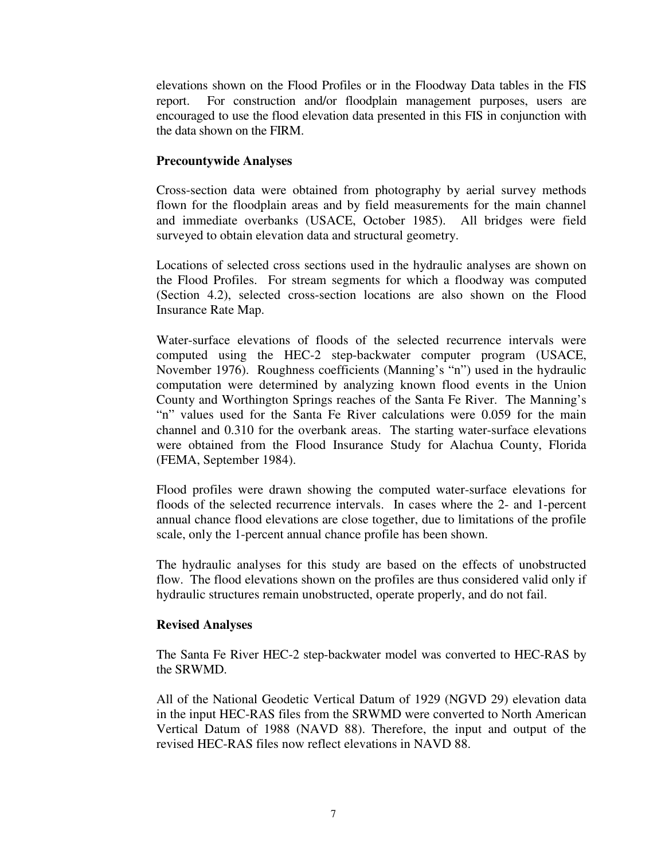elevations shown on the Flood Profiles or in the Floodway Data tables in the FIS report. For construction and/or floodplain management purposes, users are encouraged to use the flood elevation data presented in this FIS in conjunction with the data shown on the FIRM.

# **Precountywide Analyses**

Cross-section data were obtained from photography by aerial survey methods flown for the floodplain areas and by field measurements for the main channel and immediate overbanks (USACE, October 1985). All bridges were field surveyed to obtain elevation data and structural geometry.

Locations of selected cross sections used in the hydraulic analyses are shown on the Flood Profiles. For stream segments for which a floodway was computed (Section 4.2), selected cross-section locations are also shown on the Flood Insurance Rate Map.

Water-surface elevations of floods of the selected recurrence intervals were computed using the HEC-2 step-backwater computer program (USACE, November 1976). Roughness coefficients (Manning's "n") used in the hydraulic computation were determined by analyzing known flood events in the Union County and Worthington Springs reaches of the Santa Fe River. The Manning's "n" values used for the Santa Fe River calculations were 0.059 for the main channel and 0.310 for the overbank areas. The starting water-surface elevations were obtained from the Flood Insurance Study for Alachua County, Florida (FEMA, September 1984).

Flood profiles were drawn showing the computed water-surface elevations for floods of the selected recurrence intervals. In cases where the 2- and 1-percent annual chance flood elevations are close together, due to limitations of the profile scale, only the 1-percent annual chance profile has been shown.

The hydraulic analyses for this study are based on the effects of unobstructed flow. The flood elevations shown on the profiles are thus considered valid only if hydraulic structures remain unobstructed, operate properly, and do not fail.

#### **Revised Analyses**

The Santa Fe River HEC-2 step-backwater model was converted to HEC-RAS by the SRWMD.

All of the National Geodetic Vertical Datum of 1929 (NGVD 29) elevation data in the input HEC-RAS files from the SRWMD were converted to North American Vertical Datum of 1988 (NAVD 88). Therefore, the input and output of the revised HEC-RAS files now reflect elevations in NAVD 88.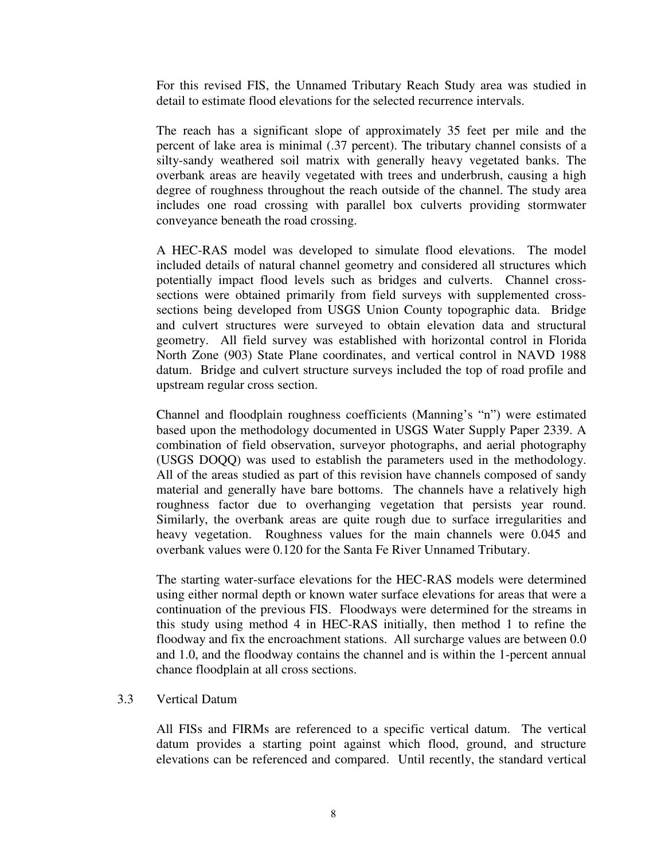For this revised FIS, the Unnamed Tributary Reach Study area was studied in detail to estimate flood elevations for the selected recurrence intervals.

The reach has a significant slope of approximately 35 feet per mile and the percent of lake area is minimal (.37 percent). The tributary channel consists of a silty-sandy weathered soil matrix with generally heavy vegetated banks. The overbank areas are heavily vegetated with trees and underbrush, causing a high degree of roughness throughout the reach outside of the channel. The study area includes one road crossing with parallel box culverts providing stormwater conveyance beneath the road crossing.

A HEC-RAS model was developed to simulate flood elevations. The model included details of natural channel geometry and considered all structures which potentially impact flood levels such as bridges and culverts. Channel crosssections were obtained primarily from field surveys with supplemented crosssections being developed from USGS Union County topographic data. Bridge and culvert structures were surveyed to obtain elevation data and structural geometry. All field survey was established with horizontal control in Florida North Zone (903) State Plane coordinates, and vertical control in NAVD 1988 datum. Bridge and culvert structure surveys included the top of road profile and upstream regular cross section.

Channel and floodplain roughness coefficients (Manning's "n") were estimated based upon the methodology documented in USGS Water Supply Paper 2339. A combination of field observation, surveyor photographs, and aerial photography (USGS DOQQ) was used to establish the parameters used in the methodology. All of the areas studied as part of this revision have channels composed of sandy material and generally have bare bottoms. The channels have a relatively high roughness factor due to overhanging vegetation that persists year round. Similarly, the overbank areas are quite rough due to surface irregularities and heavy vegetation. Roughness values for the main channels were 0.045 and overbank values were 0.120 for the Santa Fe River Unnamed Tributary.

The starting water-surface elevations for the HEC-RAS models were determined using either normal depth or known water surface elevations for areas that were a continuation of the previous FIS. Floodways were determined for the streams in this study using method 4 in HEC-RAS initially, then method 1 to refine the floodway and fix the encroachment stations. All surcharge values are between 0.0 and 1.0, and the floodway contains the channel and is within the 1-percent annual chance floodplain at all cross sections.

#### 3.3 Vertical Datum

All FISs and FIRMs are referenced to a specific vertical datum. The vertical datum provides a starting point against which flood, ground, and structure elevations can be referenced and compared. Until recently, the standard vertical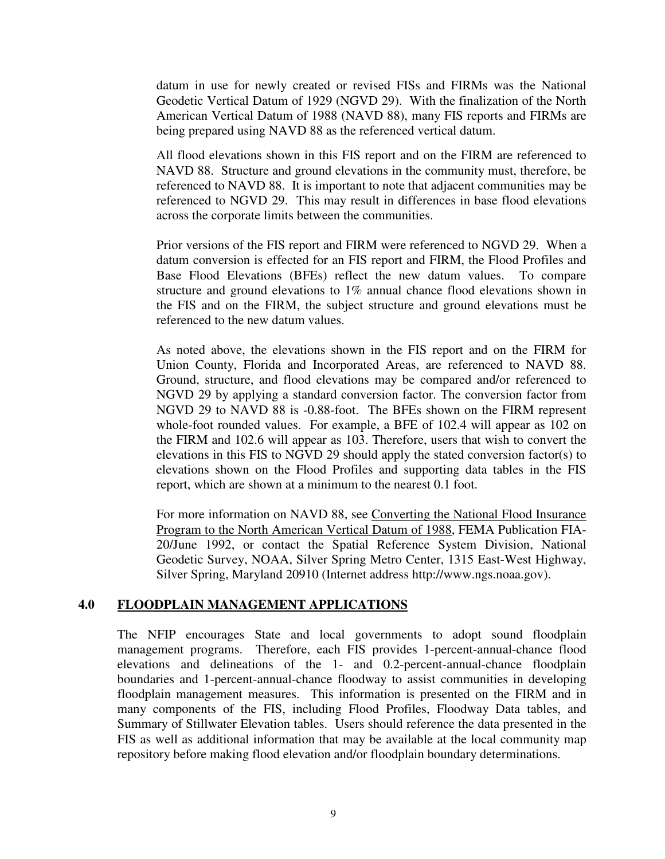datum in use for newly created or revised FISs and FIRMs was the National Geodetic Vertical Datum of 1929 (NGVD 29). With the finalization of the North American Vertical Datum of 1988 (NAVD 88), many FIS reports and FIRMs are being prepared using NAVD 88 as the referenced vertical datum.

All flood elevations shown in this FIS report and on the FIRM are referenced to NAVD 88. Structure and ground elevations in the community must, therefore, be referenced to NAVD 88. It is important to note that adjacent communities may be referenced to NGVD 29. This may result in differences in base flood elevations across the corporate limits between the communities.

Prior versions of the FIS report and FIRM were referenced to NGVD 29. When a datum conversion is effected for an FIS report and FIRM, the Flood Profiles and Base Flood Elevations (BFEs) reflect the new datum values. To compare structure and ground elevations to 1% annual chance flood elevations shown in the FIS and on the FIRM, the subject structure and ground elevations must be referenced to the new datum values.

As noted above, the elevations shown in the FIS report and on the FIRM for Union County, Florida and Incorporated Areas, are referenced to NAVD 88. Ground, structure, and flood elevations may be compared and/or referenced to NGVD 29 by applying a standard conversion factor. The conversion factor from NGVD 29 to NAVD 88 is -0.88-foot. The BFEs shown on the FIRM represent whole-foot rounded values. For example, a BFE of 102.4 will appear as 102 on the FIRM and 102.6 will appear as 103. Therefore, users that wish to convert the elevations in this FIS to NGVD 29 should apply the stated conversion factor(s) to elevations shown on the Flood Profiles and supporting data tables in the FIS report, which are shown at a minimum to the nearest 0.1 foot.

For more information on NAVD 88, see Converting the National Flood Insurance Program to the North American Vertical Datum of 1988, FEMA Publication FIA-20/June 1992, or contact the Spatial Reference System Division, National Geodetic Survey, NOAA, Silver Spring Metro Center, 1315 East-West Highway, Silver Spring, Maryland 20910 (Internet address http://www.ngs.noaa.gov).

# **4.0 FLOODPLAIN MANAGEMENT APPLICATIONS**

The NFIP encourages State and local governments to adopt sound floodplain management programs. Therefore, each FIS provides 1-percent-annual-chance flood elevations and delineations of the 1- and 0.2-percent-annual-chance floodplain boundaries and 1-percent-annual-chance floodway to assist communities in developing floodplain management measures. This information is presented on the FIRM and in many components of the FIS, including Flood Profiles, Floodway Data tables, and Summary of Stillwater Elevation tables. Users should reference the data presented in the FIS as well as additional information that may be available at the local community map repository before making flood elevation and/or floodplain boundary determinations.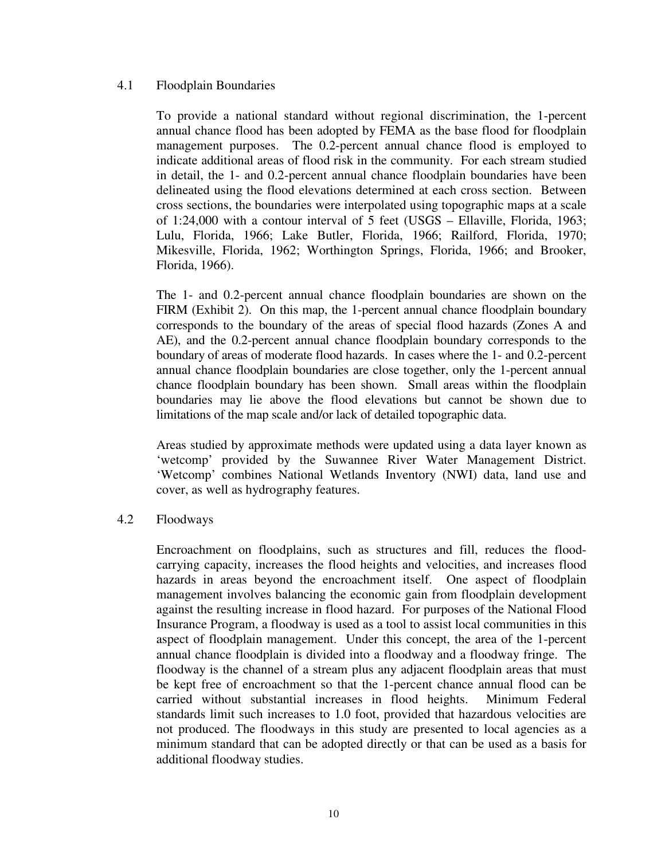#### 4.1 Floodplain Boundaries

To provide a national standard without regional discrimination, the 1-percent annual chance flood has been adopted by FEMA as the base flood for floodplain management purposes. The 0.2-percent annual chance flood is employed to indicate additional areas of flood risk in the community. For each stream studied in detail, the 1- and 0.2-percent annual chance floodplain boundaries have been delineated using the flood elevations determined at each cross section. Between cross sections, the boundaries were interpolated using topographic maps at a scale of 1:24,000 with a contour interval of 5 feet (USGS – Ellaville, Florida, 1963; Lulu, Florida, 1966; Lake Butler, Florida, 1966; Railford, Florida, 1970; Mikesville, Florida, 1962; Worthington Springs, Florida, 1966; and Brooker, Florida, 1966).

The 1- and 0.2-percent annual chance floodplain boundaries are shown on the FIRM (Exhibit 2). On this map, the 1-percent annual chance floodplain boundary corresponds to the boundary of the areas of special flood hazards (Zones A and AE), and the 0.2-percent annual chance floodplain boundary corresponds to the boundary of areas of moderate flood hazards. In cases where the 1- and 0.2-percent annual chance floodplain boundaries are close together, only the 1-percent annual chance floodplain boundary has been shown. Small areas within the floodplain boundaries may lie above the flood elevations but cannot be shown due to limitations of the map scale and/or lack of detailed topographic data.

Areas studied by approximate methods were updated using a data layer known as 'wetcomp' provided by the Suwannee River Water Management District. 'Wetcomp' combines National Wetlands Inventory (NWI) data, land use and cover, as well as hydrography features.

### 4.2 Floodways

Encroachment on floodplains, such as structures and fill, reduces the floodcarrying capacity, increases the flood heights and velocities, and increases flood hazards in areas beyond the encroachment itself. One aspect of floodplain management involves balancing the economic gain from floodplain development against the resulting increase in flood hazard. For purposes of the National Flood Insurance Program, a floodway is used as a tool to assist local communities in this aspect of floodplain management. Under this concept, the area of the 1-percent annual chance floodplain is divided into a floodway and a floodway fringe. The floodway is the channel of a stream plus any adjacent floodplain areas that must be kept free of encroachment so that the 1-percent chance annual flood can be carried without substantial increases in flood heights. Minimum Federal standards limit such increases to 1.0 foot, provided that hazardous velocities are not produced. The floodways in this study are presented to local agencies as a minimum standard that can be adopted directly or that can be used as a basis for additional floodway studies.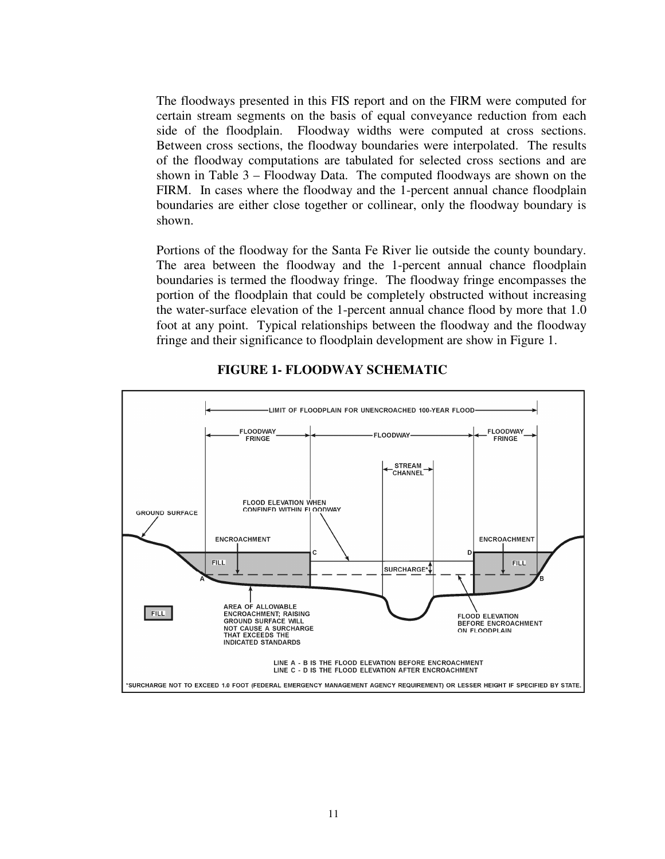The floodways presented in this FIS report and on the FIRM were computed for certain stream segments on the basis of equal conveyance reduction from each side of the floodplain. Floodway widths were computed at cross sections. Between cross sections, the floodway boundaries were interpolated. The results of the floodway computations are tabulated for selected cross sections and are shown in Table 3 – Floodway Data. The computed floodways are shown on the FIRM. In cases where the floodway and the 1-percent annual chance floodplain boundaries are either close together or collinear, only the floodway boundary is shown.

Portions of the floodway for the Santa Fe River lie outside the county boundary. The area between the floodway and the 1-percent annual chance floodplain boundaries is termed the floodway fringe. The floodway fringe encompasses the portion of the floodplain that could be completely obstructed without increasing the water-surface elevation of the 1-percent annual chance flood by more that 1.0 foot at any point. Typical relationships between the floodway and the floodway fringe and their significance to floodplain development are show in Figure 1.



# **FIGURE 1- FLOODWAY SCHEMATIC**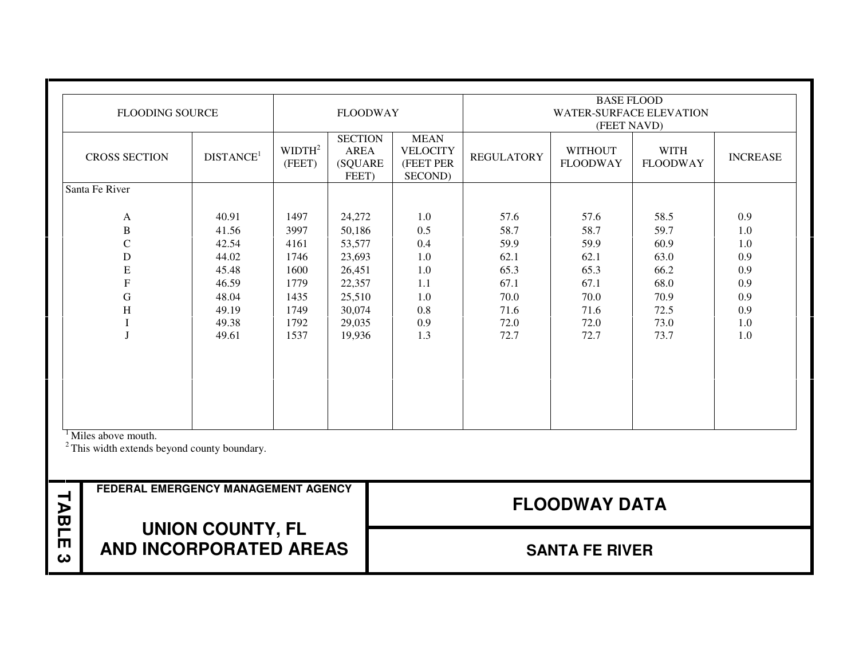|        | <b>FLOODING SOURCE</b>                                                                                          |                                                                                        |                                                                              | <b>FLOODWAY</b>                                                                                  |                                                                    |                                                                              | <b>BASE FLOOD</b><br>WATER-SURFACE ELEVATION                                 |                                                                              |                                                                    |
|--------|-----------------------------------------------------------------------------------------------------------------|----------------------------------------------------------------------------------------|------------------------------------------------------------------------------|--------------------------------------------------------------------------------------------------|--------------------------------------------------------------------|------------------------------------------------------------------------------|------------------------------------------------------------------------------|------------------------------------------------------------------------------|--------------------------------------------------------------------|
|        |                                                                                                                 |                                                                                        |                                                                              |                                                                                                  |                                                                    |                                                                              | (FEET NAVD)                                                                  |                                                                              |                                                                    |
|        | <b>CROSS SECTION</b>                                                                                            | DISTANCE <sup>1</sup>                                                                  | WIDTH <sup>2</sup><br>(FEET)                                                 | <b>SECTION</b><br><b>AREA</b><br>(SQUARE<br>FEET)                                                | <b>MEAN</b><br><b>VELOCITY</b><br>(FEET PER<br>SECOND)             | <b>REGULATORY</b>                                                            | <b>WITHOUT</b><br><b>FLOODWAY</b>                                            | <b>WITH</b><br><b>FLOODWAY</b>                                               | <b>INCREASE</b>                                                    |
|        | Santa Fe River                                                                                                  |                                                                                        |                                                                              |                                                                                                  |                                                                    |                                                                              |                                                                              |                                                                              |                                                                    |
|        | A<br>$\, {\bf B}$<br>$\mathbf C$<br>D<br>E<br>$\mathbf F$<br>G<br>$\boldsymbol{\mathrm{H}}$<br>T<br>$\mathbf I$ | 40.91<br>41.56<br>42.54<br>44.02<br>45.48<br>46.59<br>48.04<br>49.19<br>49.38<br>49.61 | 1497<br>3997<br>4161<br>1746<br>1600<br>1779<br>1435<br>1749<br>1792<br>1537 | 24,272<br>50,186<br>53,577<br>23,693<br>26,451<br>22,357<br>25,510<br>30,074<br>29,035<br>19,936 | 1.0<br>0.5<br>0.4<br>1.0<br>1.0<br>1.1<br>1.0<br>0.8<br>0.9<br>1.3 | 57.6<br>58.7<br>59.9<br>62.1<br>65.3<br>67.1<br>70.0<br>71.6<br>72.0<br>72.7 | 57.6<br>58.7<br>59.9<br>62.1<br>65.3<br>67.1<br>70.0<br>71.6<br>72.0<br>72.7 | 58.5<br>59.7<br>60.9<br>63.0<br>66.2<br>68.0<br>70.9<br>72.5<br>73.0<br>73.7 | 0.9<br>1.0<br>1.0<br>0.9<br>0.9<br>0.9<br>0.9<br>0.9<br>1.0<br>1.0 |
|        | <sup>1</sup> Miles above mouth.<br>$2$ This width extends beyond county boundary.                               |                                                                                        |                                                                              |                                                                                                  |                                                                    |                                                                              |                                                                              |                                                                              |                                                                    |
| TABLI  | FEDERAL EMERGENCY MANAGEMENT AGENCY                                                                             |                                                                                        |                                                                              |                                                                                                  |                                                                    |                                                                              | <b>FLOODWAY DATA</b>                                                         |                                                                              |                                                                    |
| m<br>ω | <b>AND INCORPORATED AREAS</b>                                                                                   | <b>UNION COUNTY, FL</b>                                                                |                                                                              |                                                                                                  |                                                                    |                                                                              | <b>SANTA FE RIVER</b>                                                        |                                                                              |                                                                    |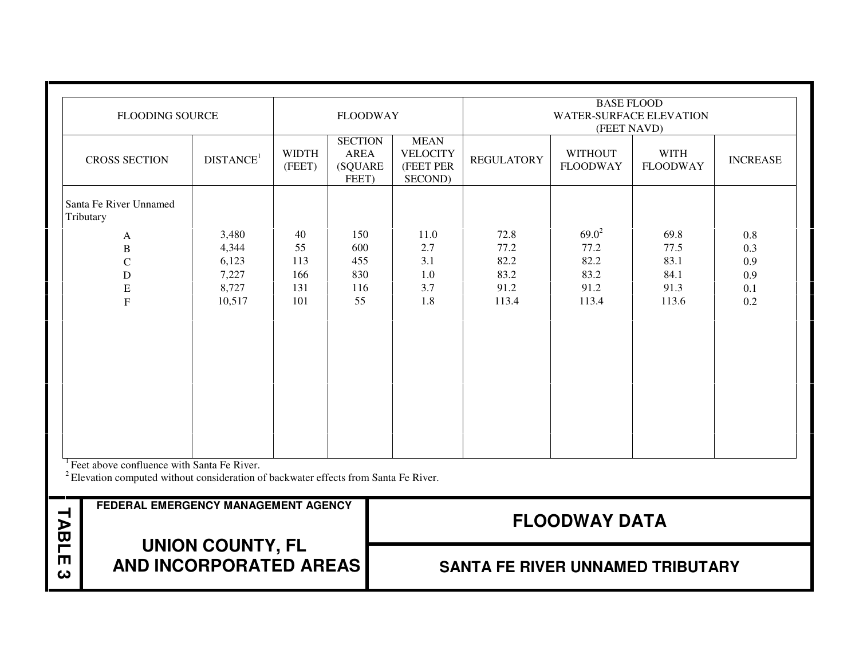|              | <b>FLOODING SOURCE</b>                                                                                                                                     |                                                     |                                      | <b>FLOODWAY</b>                                           |                                                        |                                               | <b>BASE FLOOD</b><br><b>WATER-SURFACE ELEVATION</b><br>(FEET NAVD) |                                               |                                        |
|--------------|------------------------------------------------------------------------------------------------------------------------------------------------------------|-----------------------------------------------------|--------------------------------------|-----------------------------------------------------------|--------------------------------------------------------|-----------------------------------------------|--------------------------------------------------------------------|-----------------------------------------------|----------------------------------------|
|              | <b>CROSS SECTION</b>                                                                                                                                       | DISTANCE <sup>1</sup>                               | <b>WIDTH</b><br>(FEET)               | <b>SECTION</b><br><b>AREA</b><br><b>(SQUARE)</b><br>FEET) | <b>MEAN</b><br><b>VELOCITY</b><br>(FEET PER<br>SECOND) | <b>REGULATORY</b>                             | <b>WITHOUT</b><br><b>FLOODWAY</b>                                  | <b>WITH</b><br><b>FLOODWAY</b>                | <b>INCREASE</b>                        |
|              | Santa Fe River Unnamed<br>Tributary                                                                                                                        |                                                     |                                      |                                                           |                                                        |                                               |                                                                    |                                               |                                        |
|              | A<br>$\bf{B}$<br>$\overline{C}$<br>D<br>E<br>$\overline{F}$                                                                                                | 3,480<br>4,344<br>6,123<br>7,227<br>8,727<br>10,517 | 40<br>55<br>113<br>166<br>131<br>101 | 150<br>600<br>455<br>830<br>116<br>55                     | 11.0<br>2.7<br>3.1<br>1.0<br>3.7<br>1.8                | 72.8<br>77.2<br>82.2<br>83.2<br>91.2<br>113.4 | $69.0^2$<br>77.2<br>82.2<br>83.2<br>91.2<br>113.4                  | 69.8<br>77.5<br>83.1<br>84.1<br>91.3<br>113.6 | 0.8<br>0.3<br>0.9<br>0.9<br>0.1<br>0.2 |
|              | <sup>1</sup> Feet above confluence with Santa Fe River.<br><sup>2</sup> Elevation computed without consideration of backwater effects from Santa Fe River. |                                                     |                                      |                                                           |                                                        |                                               |                                                                    |                                               |                                        |
| <b>TABLI</b> | FEDERAL EMERGENCY MANAGEMENT AGENCY                                                                                                                        |                                                     |                                      |                                                           |                                                        |                                               | <b>FLOODWAY DATA</b>                                               |                                               |                                        |
| m<br>ω       |                                                                                                                                                            | <b>UNION COUNTY, FL</b><br>AND INCORPORATED AREAS   |                                      |                                                           |                                                        | <b>SANTA FE RIVER UNNAMED TRIBUTARY</b>       |                                                                    |                                               |                                        |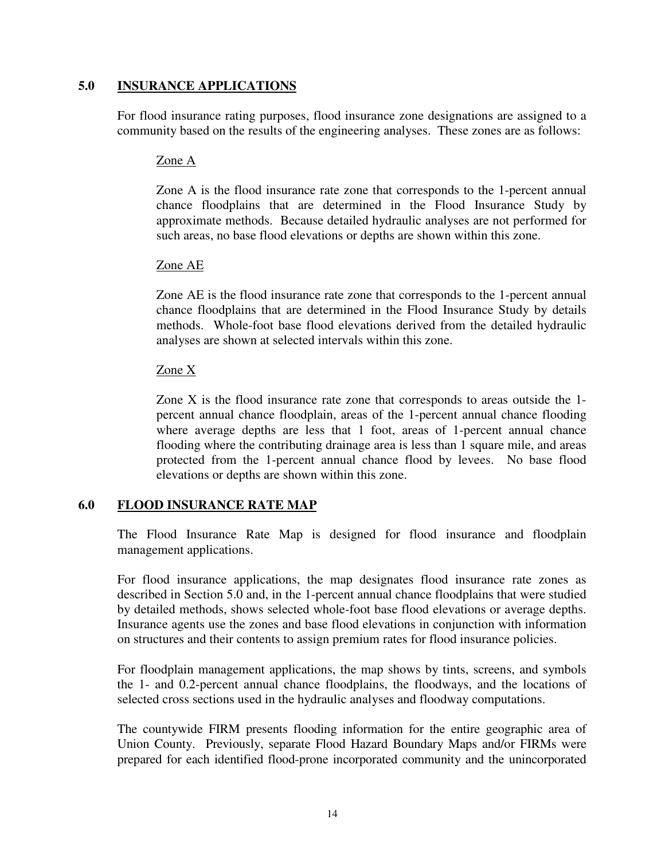# **5.0 INSURANCE APPLICATIONS**

For flood insurance rating purposes, flood insurance zone designations are assigned to a community based on the results of the engineering analyses. These zones are as follows:

# Zone A

Zone A is the flood insurance rate zone that corresponds to the 1-percent annual chance floodplains that are determined in the Flood Insurance Study by approximate methods. Because detailed hydraulic analyses are not performed for such areas, no base flood elevations or depths are shown within this zone.

# Zone AE

Zone AE is the flood insurance rate zone that corresponds to the 1-percent annual chance floodplains that are determined in the Flood Insurance Study by details methods. Whole-foot base flood elevations derived from the detailed hydraulic analyses are shown at selected intervals within this zone.

# Zone X

Zone X is the flood insurance rate zone that corresponds to areas outside the 1 percent annual chance floodplain, areas of the 1-percent annual chance flooding where average depths are less that 1 foot, areas of 1-percent annual chance flooding where the contributing drainage area is less than 1 square mile, and areas protected from the 1-percent annual chance flood by levees. No base flood elevations or depths are shown within this zone.

# **6.0 FLOOD INSURANCE RATE MAP**

The Flood Insurance Rate Map is designed for flood insurance and floodplain management applications.

For flood insurance applications, the map designates flood insurance rate zones as described in Section 5.0 and, in the 1-percent annual chance floodplains that were studied by detailed methods, shows selected whole-foot base flood elevations or average depths. Insurance agents use the zones and base flood elevations in conjunction with information on structures and their contents to assign premium rates for flood insurance policies.

For floodplain management applications, the map shows by tints, screens, and symbols the 1- and 0.2-percent annual chance floodplains, the floodways, and the locations of selected cross sections used in the hydraulic analyses and floodway computations.

The countywide FIRM presents flooding information for the entire geographic area of Union County. Previously, separate Flood Hazard Boundary Maps and/or FIRMs were prepared for each identified flood-prone incorporated community and the unincorporated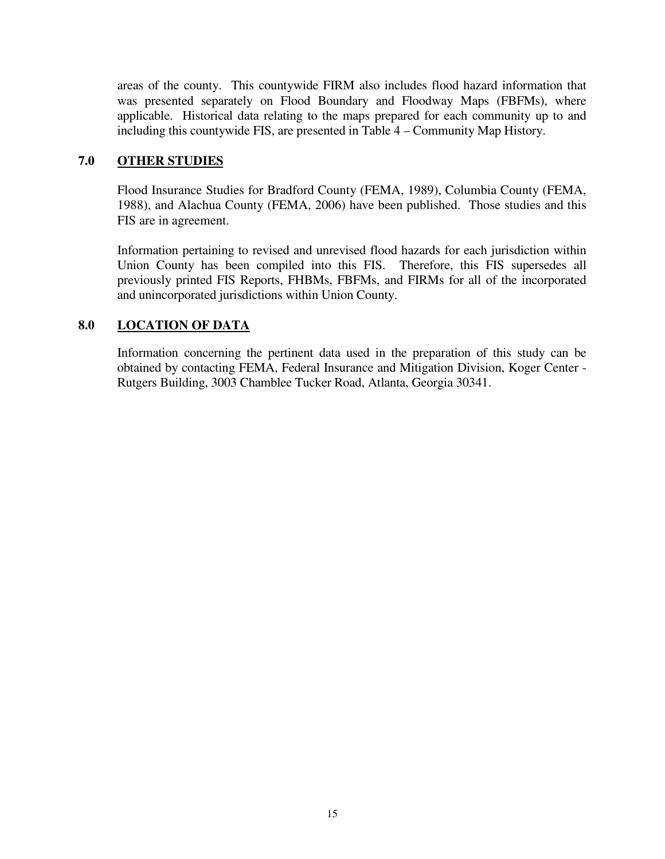areas of the county. This countywide FIRM also includes flood hazard information that was presented separately on Flood Boundary and Floodway Maps (FBFMs), where applicable. Historical data relating to the maps prepared for each community up to and including this countywide FIS, are presented in Table 4 – Community Map History.

# **7.0 OTHER STUDIES**

Flood Insurance Studies for Bradford County (FEMA, 1989), Columbia County (FEMA, 1988), and Alachua County (FEMA, 2006) have been published. Those studies and this FIS are in agreement.

 Information pertaining to revised and unrevised flood hazards for each jurisdiction within Union County has been compiled into this FIS. Therefore, this FIS supersedes all previously printed FIS Reports, FHBMs, FBFMs, and FIRMs for all of the incorporated and unincorporated jurisdictions within Union County.

# **8.0 LOCATION OF DATA**

Information concerning the pertinent data used in the preparation of this study can be obtained by contacting FEMA, Federal Insurance and Mitigation Division, Koger Center - Rutgers Building, 3003 Chamblee Tucker Road, Atlanta, Georgia 30341.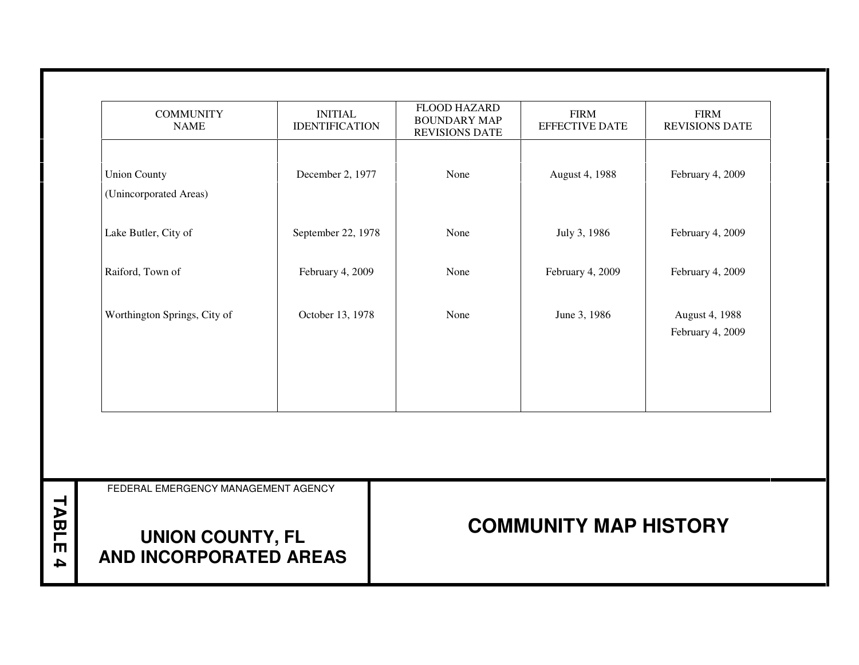| <b>UNION COUNTY, FL</b><br>AND INCORPORATED AREAS |                                         | <b>COMMUNITY MAP HISTORY</b>                                        |                                      |                                      |  |  |  |
|---------------------------------------------------|-----------------------------------------|---------------------------------------------------------------------|--------------------------------------|--------------------------------------|--|--|--|
| FEDERAL EMERGENCY MANAGEMENT AGENCY               |                                         |                                                                     |                                      |                                      |  |  |  |
|                                                   |                                         |                                                                     |                                      |                                      |  |  |  |
|                                                   |                                         |                                                                     |                                      |                                      |  |  |  |
| Worthington Springs, City of                      | October 13, 1978                        | None                                                                | June 3, 1986                         | August 4, 1988<br>February 4, 2009   |  |  |  |
|                                                   |                                         |                                                                     |                                      |                                      |  |  |  |
| Lake Butler, City of<br>Raiford, Town of          | September 22, 1978<br>February 4, 2009  | None<br>None                                                        | July 3, 1986<br>February 4, 2009     | February 4, 2009<br>February 4, 2009 |  |  |  |
| (Unincorporated Areas)                            |                                         |                                                                     |                                      |                                      |  |  |  |
| <b>Union County</b>                               | December 2, 1977                        | None                                                                | August 4, 1988                       | February 4, 2009                     |  |  |  |
| <b>COMMUNITY</b><br><b>NAME</b>                   | <b>INITIAL</b><br><b>IDENTIFICATION</b> | <b>FLOOD HAZARD</b><br><b>BOUNDARY MAP</b><br><b>REVISIONS DATE</b> | <b>FIRM</b><br><b>EFFECTIVE DATE</b> | <b>FIRM</b><br><b>REVISIONS DATE</b> |  |  |  |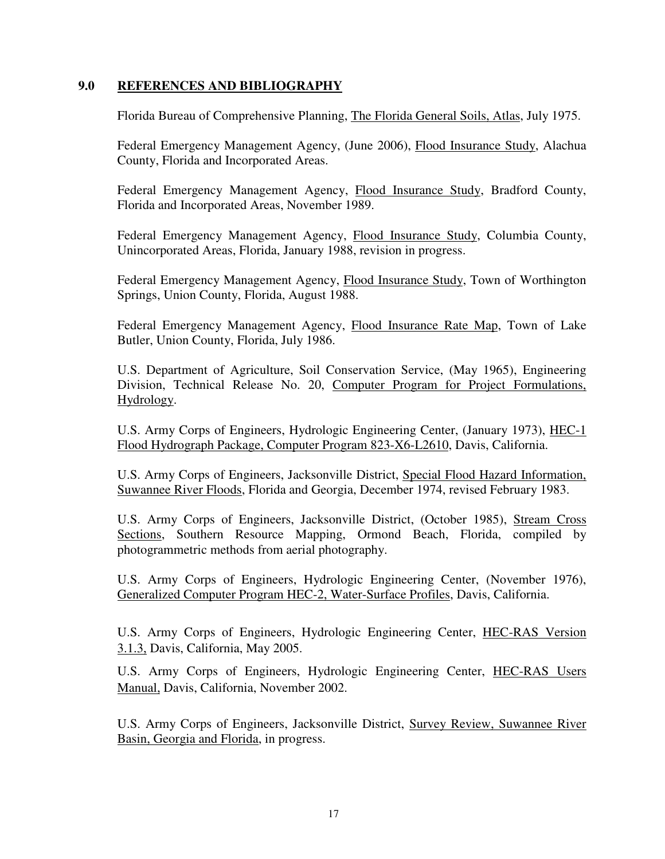### **9.0 REFERENCES AND BIBLIOGRAPHY**

Florida Bureau of Comprehensive Planning, The Florida General Soils, Atlas, July 1975.

Federal Emergency Management Agency, (June 2006), Flood Insurance Study, Alachua County, Florida and Incorporated Areas.

Federal Emergency Management Agency, Flood Insurance Study, Bradford County, Florida and Incorporated Areas, November 1989.

Federal Emergency Management Agency, Flood Insurance Study, Columbia County, Unincorporated Areas, Florida, January 1988, revision in progress.

Federal Emergency Management Agency, Flood Insurance Study, Town of Worthington Springs, Union County, Florida, August 1988.

Federal Emergency Management Agency, Flood Insurance Rate Map, Town of Lake Butler, Union County, Florida, July 1986.

U.S. Department of Agriculture, Soil Conservation Service, (May 1965), Engineering Division, Technical Release No. 20, Computer Program for Project Formulations, Hydrology.

U.S. Army Corps of Engineers, Hydrologic Engineering Center, (January 1973), HEC-1 Flood Hydrograph Package, Computer Program 823-X6-L2610, Davis, California.

U.S. Army Corps of Engineers, Jacksonville District, Special Flood Hazard Information, Suwannee River Floods, Florida and Georgia, December 1974, revised February 1983.

U.S. Army Corps of Engineers, Jacksonville District, (October 1985), Stream Cross Sections, Southern Resource Mapping, Ormond Beach, Florida, compiled by photogrammetric methods from aerial photography.

U.S. Army Corps of Engineers, Hydrologic Engineering Center, (November 1976), Generalized Computer Program HEC-2, Water-Surface Profiles, Davis, California.

U.S. Army Corps of Engineers, Hydrologic Engineering Center, HEC-RAS Version 3.1.3, Davis, California, May 2005.

U.S. Army Corps of Engineers, Hydrologic Engineering Center, HEC-RAS Users Manual, Davis, California, November 2002.

U.S. Army Corps of Engineers, Jacksonville District, Survey Review, Suwannee River Basin, Georgia and Florida, in progress.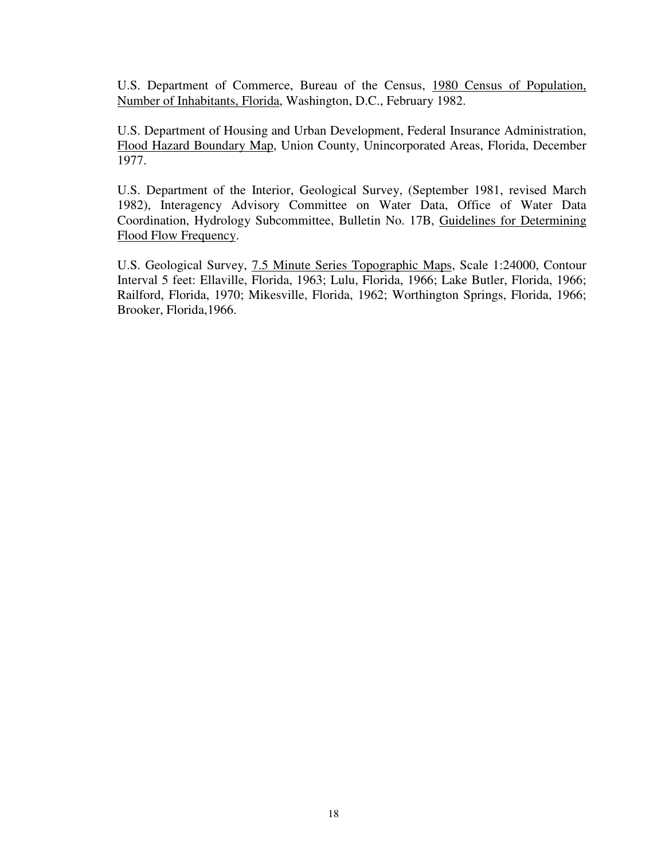U.S. Department of Commerce, Bureau of the Census, 1980 Census of Population, Number of Inhabitants, Florida, Washington, D.C., February 1982.

U.S. Department of Housing and Urban Development, Federal Insurance Administration, Flood Hazard Boundary Map, Union County, Unincorporated Areas, Florida, December 1977.

U.S. Department of the Interior, Geological Survey, (September 1981, revised March 1982), Interagency Advisory Committee on Water Data, Office of Water Data Coordination, Hydrology Subcommittee, Bulletin No. 17B, Guidelines for Determining Flood Flow Frequency.

U.S. Geological Survey, 7.5 Minute Series Topographic Maps, Scale 1:24000, Contour Interval 5 feet: Ellaville, Florida, 1963; Lulu, Florida, 1966; Lake Butler, Florida, 1966; Railford, Florida, 1970; Mikesville, Florida, 1962; Worthington Springs, Florida, 1966; Brooker, Florida,1966.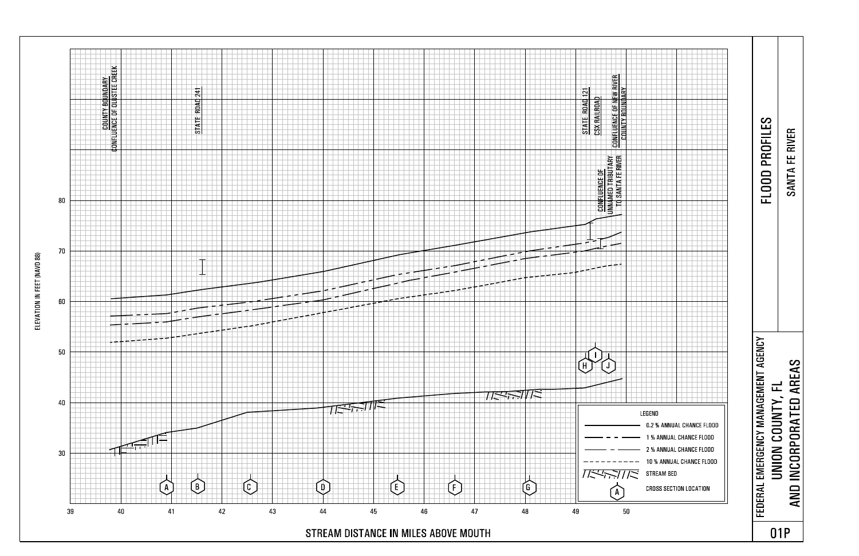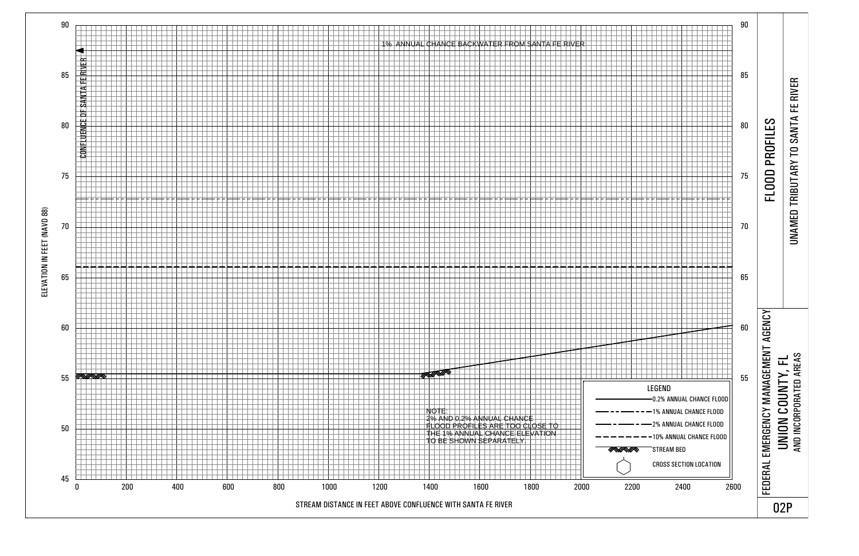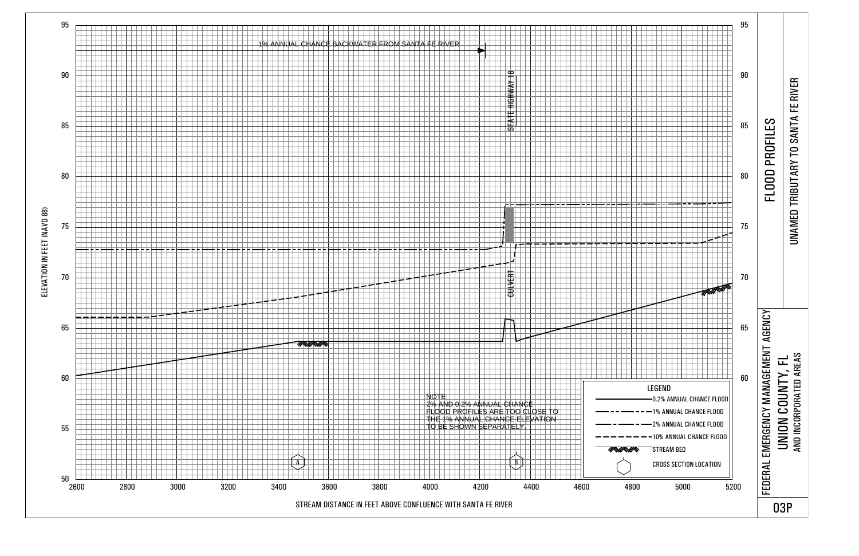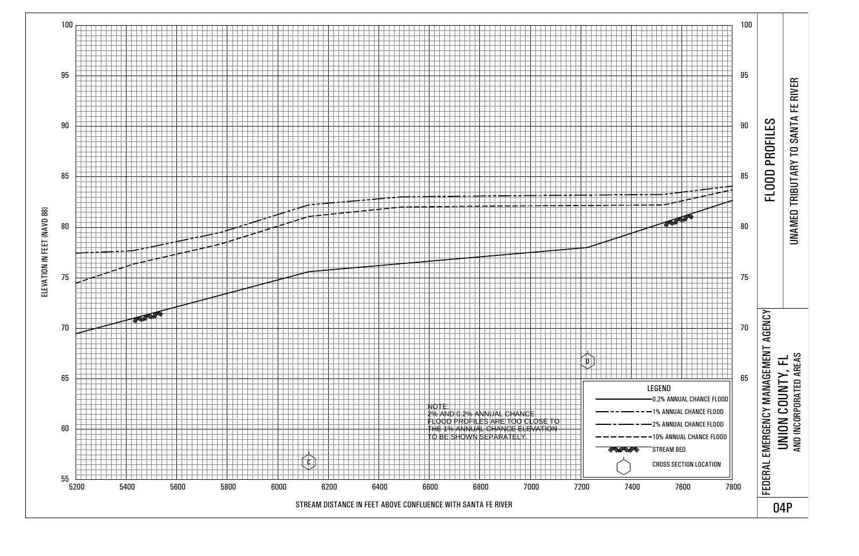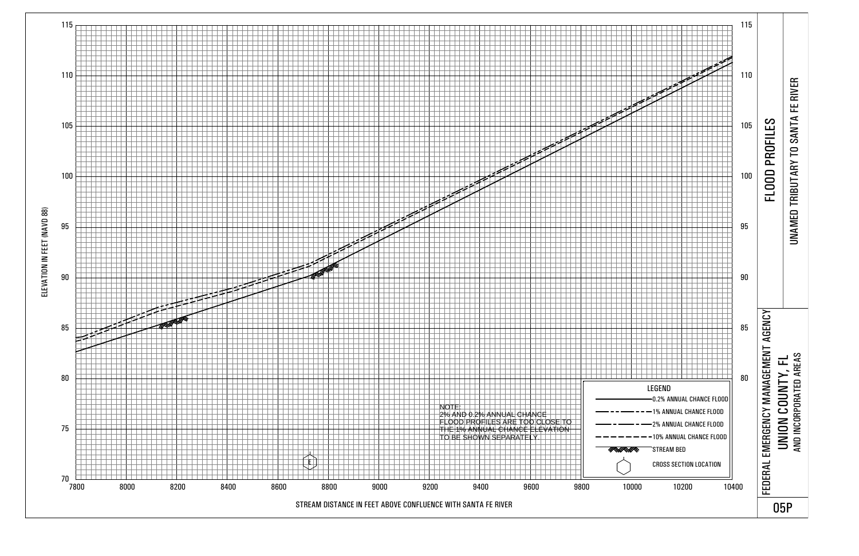